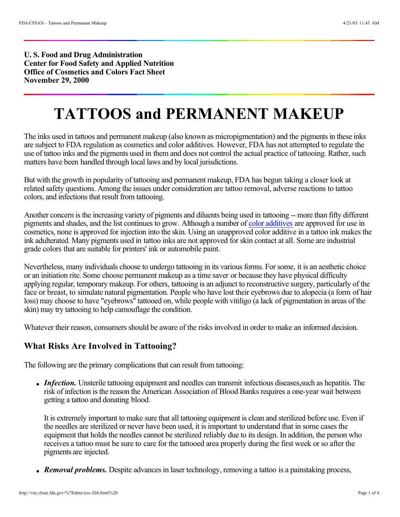**U. S. Food and Drug Administration Center for Food Safety and Applied Nutrition Office of Cosmetics and Colors Fact Sheet November 29, 2000**

# **TATTOOS and PERMANENT MAKEUP**

The inks used in tattoos and permanent makeup (also known as micropigmentation) and the pigments in these inks are subject to FDA regulation as cosmetics and color additives. However, FDA has not attempted to regulate the use of tattoo inks and the pigments used in them and does not control the actual practice of tattooing. Rather, such matters have been handled through local laws and by local jurisdictions.

But with the growth in popularity of tattooing and permanent makeup, FDA has begun taking a closer look at related safety questions. Among the issues under consideration are tattoo removal, adverse reactions to tattoo colors, and infections that result from tattooing.

Another concern is the increasing variety of pigments and diluents being used in tattooing -- more than fifty different pigments and shades, and the list continues to grow. Although a number of color additives are approved for use in cosmetics, none is approved for injection into the skin. Using an unapproved color additive in a tattoo ink makes the ink adulterated. Many pigments used in tattoo inks are not approved for skin contact at all. Some are industrial grade colors that are suitable for printers' ink or automobile paint.

Nevertheless, many individuals choose to undergo tattooing in its various forms. For some, it is an aesthetic choice or an initiation rite. Some choose permanent makeup as a time saver or because they have physical difficulty applying regular, temporary makeup. For others, tattooing is an adjunct to reconstructive surgery, particularly of the face or breast, to simulate natural pigmentation. People who have lost their eyebrows due to alopecia (a form of hair loss) may choose to have "eyebrows" tattooed on, while people with vitiligo (a lack of pigmentation in areas of the skin) may try tattooing to help camouflage the condition.

Whatever their reason, consumers should be aware of the risks involved in order to make an informed decision.

#### **What Risks Are Involved in Tattooing?**

The following are the primary complications that can result from tattooing:

Infection. Unsterile tattooing equipment and needles can transmit infectious diseases, such as hepatitis. The risk of infection is the reason the American Association of Blood Banks requires a one-year wait between getting a tattoo and donating blood.

It is extremely important to make sure that all tattooing equipment is clean and sterilized before use. Even if the needles are sterilized or never have been used, it is important to understand that in some cases the equipment that holds the needles cannot be sterilized reliably due to its design. In addition, the person who receives a tattoo must be sure to care for the tattooed area properly during the first week or so after the pigments are injected.

• **Removal problems.** Despite advances in laser technology, removing a tattoo is a painstaking process,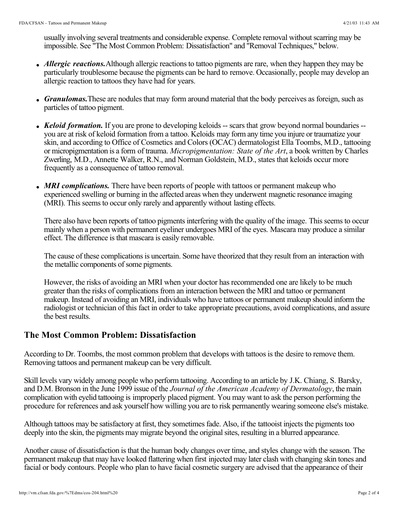usually involving several treatments and considerable expense. Complete removal without scarring may be impossible. See "The Most Common Problem: Dissatisfaction" and "Removal Techniques," below.

- Allergic reactions. Although allergic reactions to tattoo pigments are rare, when they happen they may be particularly troublesome because the pigments can be hard to remove. Occasionally, people may develop an allergic reaction to tattoos they have had for years.
- Granulomas. These are nodules that may form around material that the body perceives as foreign, such as particles of tattoo pigment.
- Keloid formation. If you are prone to developing keloids -- scars that grow beyond normal boundaries -you are at risk of keloid formation from a tattoo. Keloids may form any time you injure or traumatize your skin, and according to Office of Cosmetics and Colors (OCAC) dermatologist Ella Toombs, M.D., tattooing or micropigmentation is a form of trauma. *Micropigmentation: State of the Art*, a book written by Charles Zwerling, M.D., Annette Walker, R.N., and Norman Goldstein, M.D., states that keloids occur more frequently as a consequence of tattoo removal.
- **MRI complications.** There have been reports of people with tattoos or permanent makeup who experienced swelling or burning in the affected areas when they underwent magnetic resonance imaging (MRI). This seems to occur only rarely and apparently without lasting effects.

There also have been reports of tattoo pigments interfering with the quality of the image. This seems to occur mainly when a person with permanent eyeliner undergoes MRI of the eyes. Mascara may produce a similar effect. The difference is that mascara is easily removable.

The cause of these complications is uncertain. Some have theorized that they result from an interaction with the metallic components of some pigments.

However, the risks of avoiding an MRI when your doctor has recommended one are likely to be much greater than the risks of complications from an interaction between the MRI and tattoo or permanent makeup. Instead of avoiding an MRI, individuals who have tattoos or permanent makeup should inform the radiologist or technician of this fact in order to take appropriate precautions, avoid complications, and assure the best results.

### **The Most Common Problem: Dissatisfaction**

According to Dr. Toombs, the most common problem that develops with tattoos is the desire to remove them. Removing tattoos and permanent makeup can be very difficult.

Skill levels vary widely among people who perform tattooing. According to an article by J.K. Chiang, S. Barsky, and D.M. Bronson in the June 1999 issue of the *Journal of the American Academy of Dermatology*, the main complication with eyelid tattooing is improperly placed pigment. You may want to ask the person performing the procedure for references and ask yourself how willing you are to risk permanently wearing someone else's mistake.

Although tattoos may be satisfactory at first, they sometimes fade. Also, if the tattooist injects the pigments too deeply into the skin, the pigments may migrate beyond the original sites, resulting in a blurred appearance.

Another cause of dissatisfaction is that the human body changes over time, and styles change with the season. The permanent makeup that may have looked flattering when first injected may later clash with changing skin tones and facial or body contours. People who plan to have facial cosmetic surgery are advised that the appearance of their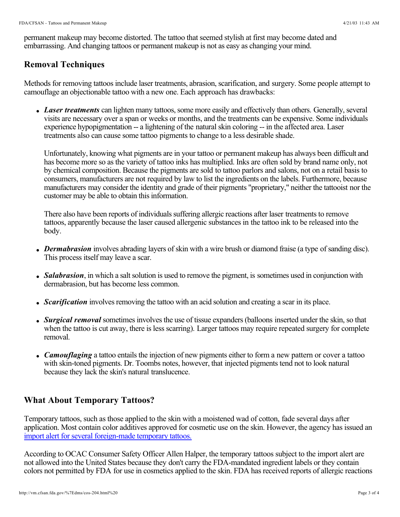permanent makeup may become distorted. The tattoo that seemed stylish at first may become dated and embarrassing. And changing tattoos or permanent makeup is not as easy as changing your mind.

## **Removal Techniques**

Methods for removing tattoos include laser treatments, abrasion, scarification, and surgery. Some people attempt to camouflage an objectionable tattoo with a new one. Each approach has drawbacks:

Laser treatments can lighten many tattoos, some more easily and effectively than others. Generally, several visits are necessary over a span or weeks or months, and the treatments can be expensive. Some individuals experience hypopigmentation -- a lightening of the natural skin coloring -- in the affected area. Laser treatments also can cause some tattoo pigments to change to a less desirable shade.

Unfortunately, knowing what pigments are in your tattoo or permanent makeup has always been difficult and has become more so as the variety of tattoo inks has multiplied. Inks are often sold by brand name only, not by chemical composition. Because the pigments are sold to tattoo parlors and salons, not on a retail basis to consumers, manufacturers are not required by law to list the ingredients on the labels. Furthermore, because manufacturers may consider the identity and grade of their pigments "proprietary," neither the tattooist nor the customer may be able to obtain this information.

There also have been reports of individuals suffering allergic reactions after laser treatments to remove tattoos, apparently because the laser caused allergenic substances in the tattoo ink to be released into the body.

- **Dermabrasion** involves abrading layers of skin with a wire brush or diamond fraise (a type of sanding disc). This process itself may leave a scar.
- Salabrasion, in which a salt solution is used to remove the pigment, is sometimes used in conjunction with dermabrasion, but has become less common.
- *Scarification* involves removing the tattoo with an acid solution and creating a scar in its place.
- **Surgical removal** sometimes involves the use of tissue expanders (balloons inserted under the skin, so that when the tattoo is cut away, there is less scarring). Larger tattoos may require repeated surgery for complete removal.
- *Camouflaging* a tattoo entails the injection of new pigments either to form a new pattern or cover a tattoo with skin-toned pigments. Dr. Toombs notes, however, that injected pigments tend not to look natural because they lack the skin's natural translucence.

# **What About Temporary Tattoos?**

Temporary tattoos, such as those applied to the skin with a moistened wad of cotton, fade several days after application. Most contain color additives approved for cosmetic use on the skin. However, the agency has issued an import alert for several foreign-made temporary tattoos.

According to OCAC Consumer Safety Officer Allen Halper, the temporary tattoos subject to the import alert are not allowed into the United States because they don't carry the FDA-mandated ingredient labels or they contain colors not permitted by FDA for use in cosmetics applied to the skin. FDA has received reports of allergic reactions